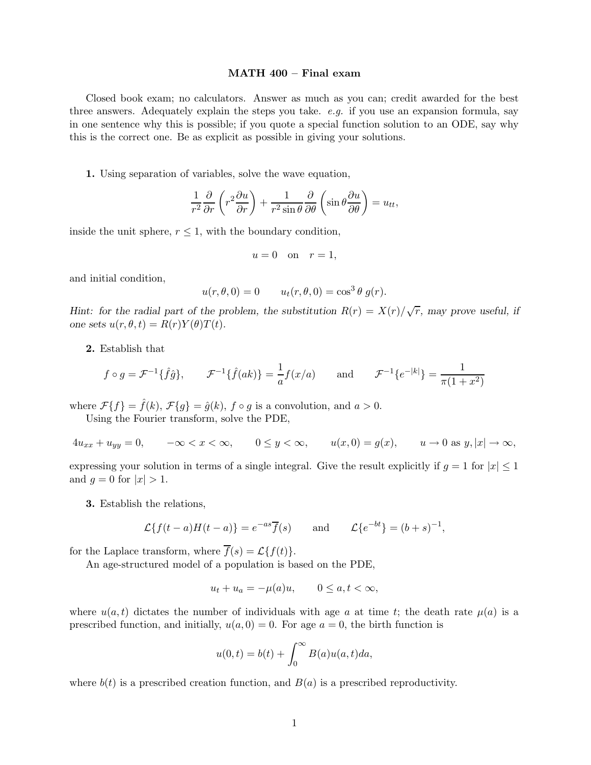## MATH 400 – Final exam

Closed book exam; no calculators. Answer as much as you can; credit awarded for the best three answers. Adequately explain the steps you take. *e.g.* if you use an expansion formula, say in one sentence why this is possible; if you quote a special function solution to an ODE, say why this is the correct one. Be as explicit as possible in giving your solutions.

1. Using separation of variables, solve the wave equation,

$$
\frac{1}{r^2}\frac{\partial}{\partial r}\left(r^2\frac{\partial u}{\partial r}\right) + \frac{1}{r^2\sin\theta}\frac{\partial}{\partial \theta}\left(\sin\theta\frac{\partial u}{\partial \theta}\right) = u_{tt},
$$

inside the unit sphere,  $r \leq 1$ , with the boundary condition,

$$
u = 0 \quad \text{on} \quad r = 1,
$$

and initial condition,

$$
u(r, \theta, 0) = 0 \qquad u_t(r, \theta, 0) = \cos^3 \theta \ g(r).
$$

Hint: for the radial part of the problem, the substitution  $R(r) = X(r)/\sqrt{r}$ , may prove useful, if one sets  $u(r, \theta, t) = R(r)Y(\theta)T(t)$ .

2. Establish that

$$
f \circ g = \mathcal{F}^{-1}\{\hat{f}\hat{g}\}, \qquad \mathcal{F}^{-1}\{\hat{f}(ak)\} = \frac{1}{a}f(x/a) \qquad \text{and} \qquad \mathcal{F}^{-1}\{e^{-|k|}\} = \frac{1}{\pi(1+x^2)}
$$

where  $\mathcal{F}{f} = \hat{f}(k)$ ,  $\mathcal{F}{g} = \hat{g}(k)$ ,  $f \circ g$  is a convolution, and  $a > 0$ .

Using the Fourier transform, solve the PDE,

$$
4u_{xx} + u_{yy} = 0, \qquad -\infty < x < \infty, \qquad 0 \le y < \infty, \qquad u(x,0) = g(x), \qquad u \to 0 \text{ as } y, |x| \to \infty,
$$

expressing your solution in terms of a single integral. Give the result explicitly if  $g = 1$  for  $|x| \leq 1$ and  $q = 0$  for  $|x| > 1$ .

3. Establish the relations,

$$
\mathcal{L}\lbrace f(t-a)H(t-a)\rbrace = e^{-as}\overline{f}(s) \quad \text{and} \quad \mathcal{L}\lbrace e^{-bt}\rbrace = (b+s)^{-1},
$$

for the Laplace transform, where  $\overline{f}(s) = \mathcal{L}{f(t)}$ .

An age-structured model of a population is based on the PDE,

$$
u_t + u_a = -\mu(a)u, \qquad 0 \le a, t < \infty,
$$

where  $u(a,t)$  dictates the number of individuals with age a at time t; the death rate  $\mu(a)$  is a prescribed function, and initially,  $u(a, 0) = 0$ . For age  $a = 0$ , the birth function is

$$
u(0,t) = b(t) + \int_0^\infty B(a)u(a,t)da,
$$

where  $b(t)$  is a prescribed creation function, and  $B(a)$  is a prescribed reproductivity.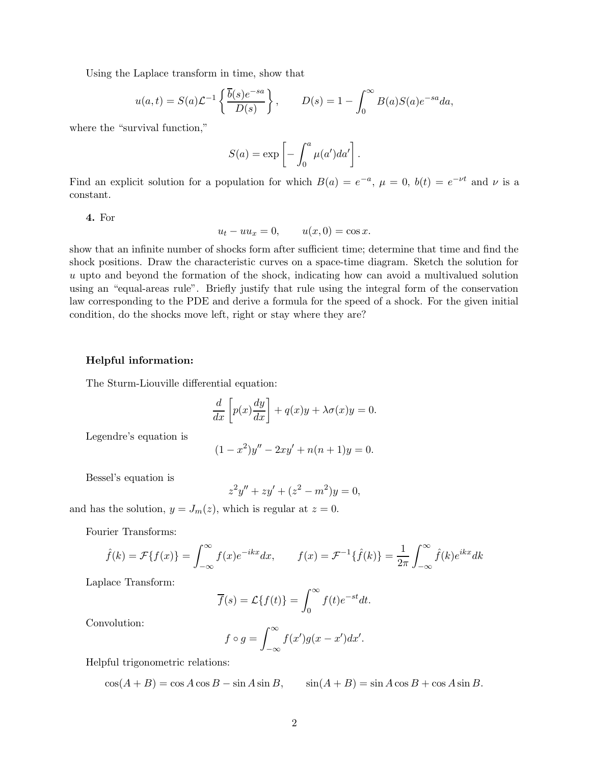Using the Laplace transform in time, show that

$$
u(a,t) = S(a)\mathcal{L}^{-1}\left\{\frac{\overline{b}(s)e^{-sa}}{D(s)}\right\}, \qquad D(s) = 1 - \int_0^\infty B(a)S(a)e^{-sa}da,
$$

where the "survival function,"

$$
S(a) = \exp \left[ - \int_0^a \mu(a')da' \right].
$$

Find an explicit solution for a population for which  $B(a) = e^{-a}$ ,  $\mu = 0$ ,  $b(t) = e^{-\nu t}$  and  $\nu$  is a constant.

4. For

$$
u_t - uu_x = 0, \qquad u(x,0) = \cos x.
$$

show that an infinite number of shocks form after sufficient time; determine that time and find the shock positions. Draw the characteristic curves on a space-time diagram. Sketch the solution for u upto and beyond the formation of the shock, indicating how can avoid a multivalued solution using an "equal-areas rule". Briefly justify that rule using the integral form of the conservation law corresponding to the PDE and derive a formula for the speed of a shock. For the given initial condition, do the shocks move left, right or stay where they are?

## Helpful information:

The Sturm-Liouville differential equation:

$$
\frac{d}{dx}\left[p(x)\frac{dy}{dx}\right] + q(x)y + \lambda\sigma(x)y = 0.
$$

Legendre's equation is

$$
(1 - x2)y'' - 2xy' + n(n + 1)y = 0.
$$

Bessel's equation is

$$
z^2y'' + zy' + (z^2 - m^2)y = 0,
$$

and has the solution,  $y = J_m(z)$ , which is regular at  $z = 0$ .

Fourier Transforms:

$$
\hat{f}(k) = \mathcal{F}\{f(x)\} = \int_{-\infty}^{\infty} f(x)e^{-ikx}dx, \qquad f(x) = \mathcal{F}^{-1}\{\hat{f}(k)\} = \frac{1}{2\pi} \int_{-\infty}^{\infty} \hat{f}(k)e^{ikx}dk
$$

Laplace Transform:

$$
\overline{f}(s) = \mathcal{L}{f(t)} = \int_0^\infty f(t)e^{-st}dt.
$$

Convolution:

$$
f \circ g = \int_{-\infty}^{\infty} f(x')g(x - x')dx'.
$$

Helpful trigonometric relations:

$$
\cos(A+B) = \cos A \cos B - \sin A \sin B, \qquad \sin(A+B) = \sin A \cos B + \cos A \sin B.
$$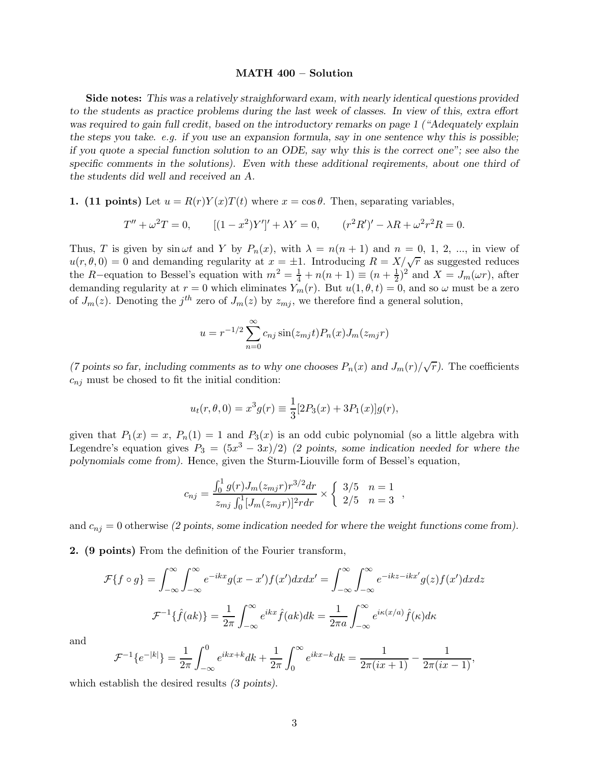## MATH 400 – Solution

Side notes: This was a relatively straighforward exam, with nearly identical questions provided to the students as practice problems during the last week of classes. In view of this, extra effort was required to gain full credit, based on the introductory remarks on page 1 ("Adequately explain") the steps you take. e.g. if you use an expansion formula, say in one sentence why this is possible; if you quote a special function solution to an ODE, say why this is the correct one"; see also the specific comments in the solutions). Even with these additional reqirements, about one third of the students did well and received an A.

1. (11 points) Let  $u = R(r)Y(x)T(t)$  where  $x = \cos \theta$ . Then, separating variables,

$$
T'' + \omega^2 T = 0, \qquad [(1 - x^2)Y']' + \lambda Y = 0, \qquad (r^2 R')' - \lambda R + \omega^2 r^2 R = 0.
$$

Thus, T is given by  $\sin \omega t$  and Y by  $P_n(x)$ , with  $\lambda = n(n+1)$  and  $n = 0, 1, 2, ...$ , in view of  $u(r, \theta, 0) = 0$  and demanding regularity at  $x = \pm 1$ . Introducing  $R = X/\sqrt{r}$  as suggested reduces the R–equation to Bessel's equation with  $m^2 = \frac{1}{4} + n(n+1) \equiv (n + \frac{1}{2})$  $(\frac{1}{2})^2$  and  $X = J_m(\omega r)$ , after demanding regularity at  $r = 0$  which eliminates  $Y_m(r)$ . But  $u(1, \theta, t) = 0$ , and so  $\omega$  must be a zero of  $J_m(z)$ . Denoting the  $j<sup>th</sup>$  zero of  $J_m(z)$  by  $z_{mj}$ , we therefore find a general solution,

$$
u = r^{-1/2} \sum_{n=0}^{\infty} c_{nj} \sin(z_{mj}t) P_n(x) J_m(z_{mj}r)
$$

(7 points so far, including comments as to why one chooses  $P_n(x)$  and  $J_m(r)/\sqrt{r}$ ). The coefficients  $c_{nj}$  must be chosed to fit the initial condition:

$$
u_t(r, \theta, 0) = x^3 g(r) \equiv \frac{1}{3} [2P_3(x) + 3P_1(x)]g(r),
$$

given that  $P_1(x) = x$ ,  $P_n(1) = 1$  and  $P_3(x)$  is an odd cubic polynomial (so a little algebra with Legendre's equation gives  $P_3 = (5x^3 - 3x)/2$  (2 points, some indication needed for where the polynomials come from). Hence, given the Sturm-Liouville form of Bessel's equation,

$$
c_{nj} = \frac{\int_0^1 g(r) J_m(z_{mj}r) r^{3/2} dr}{z_{mj} \int_0^1 [J_m(z_{mj}r)]^2 r dr} \times \begin{cases} 3/5 & n = 1 \\ 2/5 & n = 3 \end{cases},
$$

and  $c_{nj} = 0$  otherwise (2 points, some indication needed for where the weight functions come from).

2. (9 points) From the definition of the Fourier transform,

$$
\mathcal{F}\lbrace f \circ g \rbrace = \int_{-\infty}^{\infty} \int_{-\infty}^{\infty} e^{-ikx} g(x - x') f(x') dx dx' = \int_{-\infty}^{\infty} \int_{-\infty}^{\infty} e^{-ikz - ikx'} g(z) f(x') dx dz
$$

$$
\mathcal{F}^{-1}\lbrace \hat{f}(ak) \rbrace = \frac{1}{2\pi} \int_{-\infty}^{\infty} e^{ikx} \hat{f}(ak) dk = \frac{1}{2\pi a} \int_{-\infty}^{\infty} e^{i\kappa(x/a)} \hat{f}(\kappa) d\kappa
$$

and

$$
\mathcal{F}^{-1}\lbrace e^{-|k|}\rbrace = \frac{1}{2\pi} \int_{-\infty}^{0} e^{ikx+k} dk + \frac{1}{2\pi} \int_{0}^{\infty} e^{ikx-k} dk = \frac{1}{2\pi(ix+1)} - \frac{1}{2\pi(ix-1)},
$$

which establish the desired results (3 points).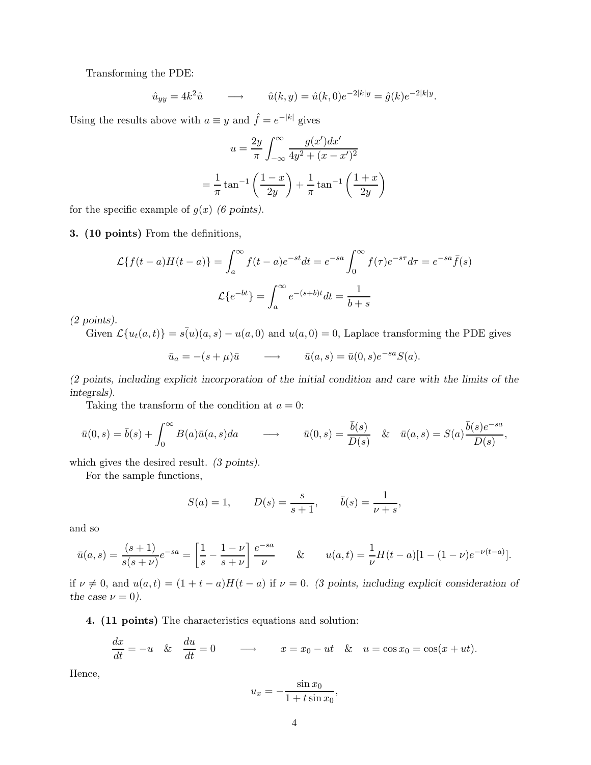Transforming the PDE:

$$
\hat{u}_{yy} = 4k^2 \hat{u} \longrightarrow \hat{u}(k, y) = \hat{u}(k, 0)e^{-2|k|y} = \hat{g}(k)e^{-2|k|y}.
$$

Using the results above with  $a \equiv y$  and  $\hat{f} = e^{-|k|}$  gives

$$
u = \frac{2y}{\pi} \int_{-\infty}^{\infty} \frac{g(x')dx'}{4y^2 + (x - x')^2}
$$

$$
= \frac{1}{\pi} \tan^{-1} \left(\frac{1 - x}{2y}\right) + \frac{1}{\pi} \tan^{-1} \left(\frac{1 + x}{2y}\right)
$$

for the specific example of  $g(x)$  (6 points).

3. (10 points) From the definitions,

$$
\mathcal{L}\{f(t-a)H(t-a)\} = \int_a^{\infty} f(t-a)e^{-st}dt = e^{-sa} \int_0^{\infty} f(\tau)e^{-s\tau}d\tau = e^{-sa}\bar{f}(s)
$$

$$
\mathcal{L}\{e^{-bt}\} = \int_a^{\infty} e^{-(s+b)t}dt = \frac{1}{b+s}
$$

(2 points).

Given  $\mathcal{L}\{u_t(a,t)\}=s(u)(a,s)-u(a,0)$  and  $u(a,0)=0$ , Laplace transforming the PDE gives

$$
\bar{u}_a = -(s+\mu)\bar{u} \longrightarrow \bar{u}(a,s) = \bar{u}(0,s)e^{-sa}S(a).
$$

(2 points, including explicit incorporation of the initial condition and care with the limits of the integrals).

Taking the transform of the condition at  $a = 0$ :

$$
\bar{u}(0,s) = \bar{b}(s) + \int_0^\infty B(a)\bar{u}(a,s)da \qquad \longrightarrow \qquad \bar{u}(0,s) = \frac{\bar{b}(s)}{D(s)} \quad \& \quad \bar{u}(a,s) = S(a)\frac{\bar{b}(s)e^{-sa}}{D(s)},
$$

which gives the desired result. *(3 points)*.

For the sample functions,

$$
S(a) = 1,
$$
  $D(s) = \frac{s}{s+1},$   $\bar{b}(s) = \frac{1}{\nu + s},$ 

and so

$$
\bar{u}(a,s) = \frac{(s+1)}{s(s+\nu)}e^{-sa} = \left[\frac{1}{s} - \frac{1-\nu}{s+\nu}\right]\frac{e^{-sa}}{\nu} \qquad & u(a,t) = \frac{1}{\nu}H(t-a)[1-(1-\nu)e^{-\nu(t-a)}].
$$

if  $\nu \neq 0$ , and  $u(a,t) = (1 + t - a)H(t - a)$  if  $\nu = 0$ . (3 points, including explicit consideration of the case  $\nu = 0$ ).

4. (11 points) The characteristics equations and solution:

$$
\frac{dx}{dt} = -u \quad \& \quad \frac{du}{dt} = 0 \qquad \longrightarrow \qquad x = x_0 - ut \quad \& \quad u = \cos x_0 = \cos(x + ut).
$$

Hence,

$$
u_x = -\frac{\sin x_0}{1 + t \sin x_0},
$$